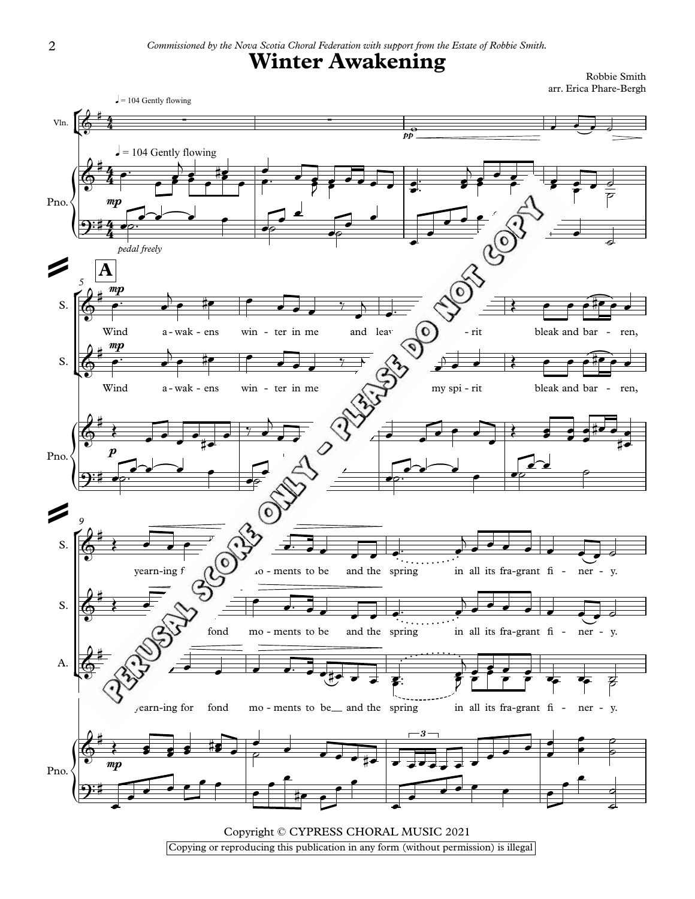## Winter Awakening

Robbie Smith arr. Erica Phare-Bergh



Copying or reproducing this publication in any form (without permission) is illegal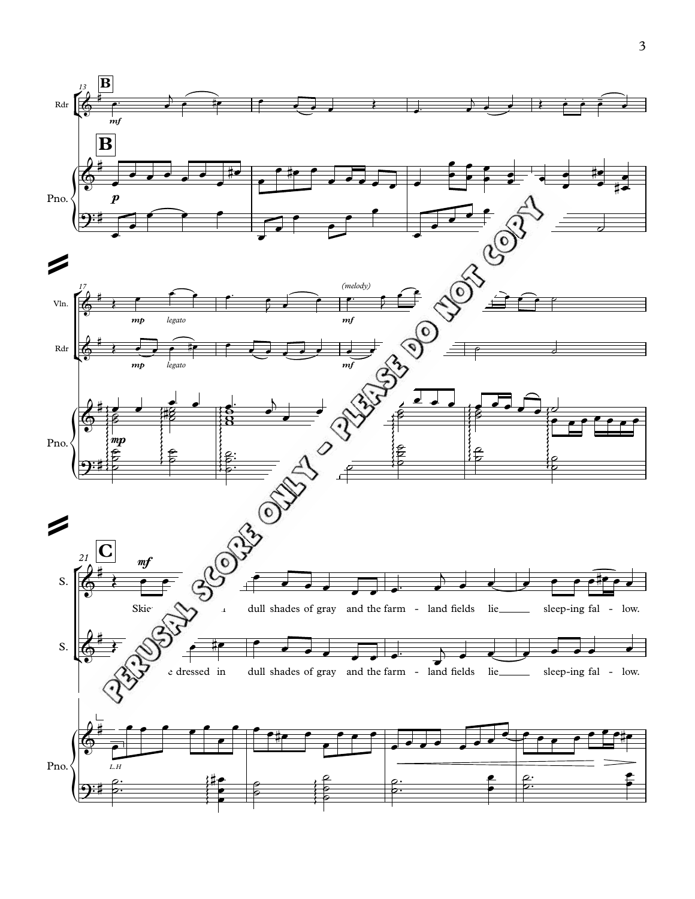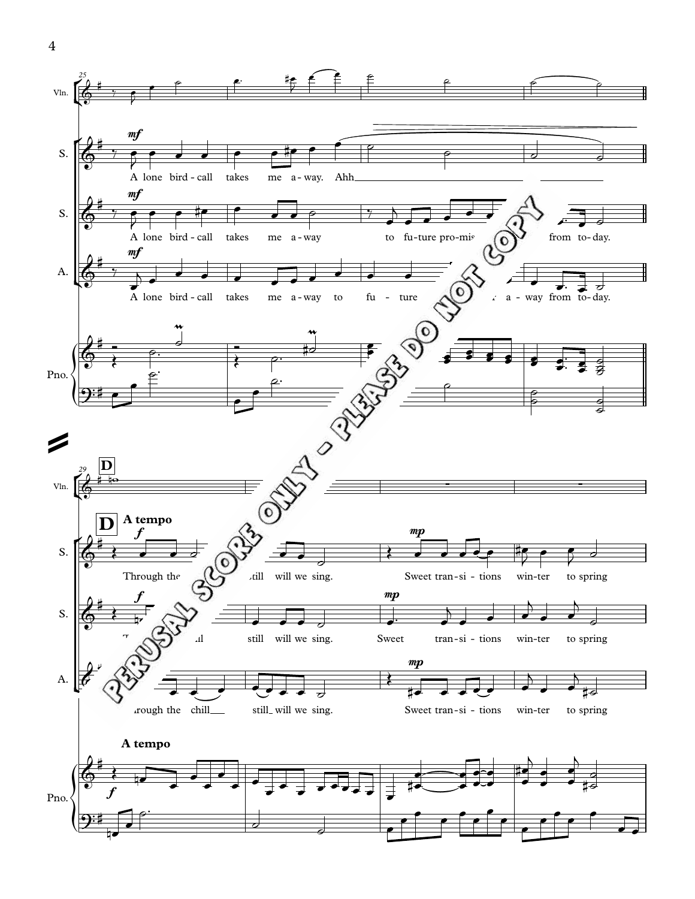

4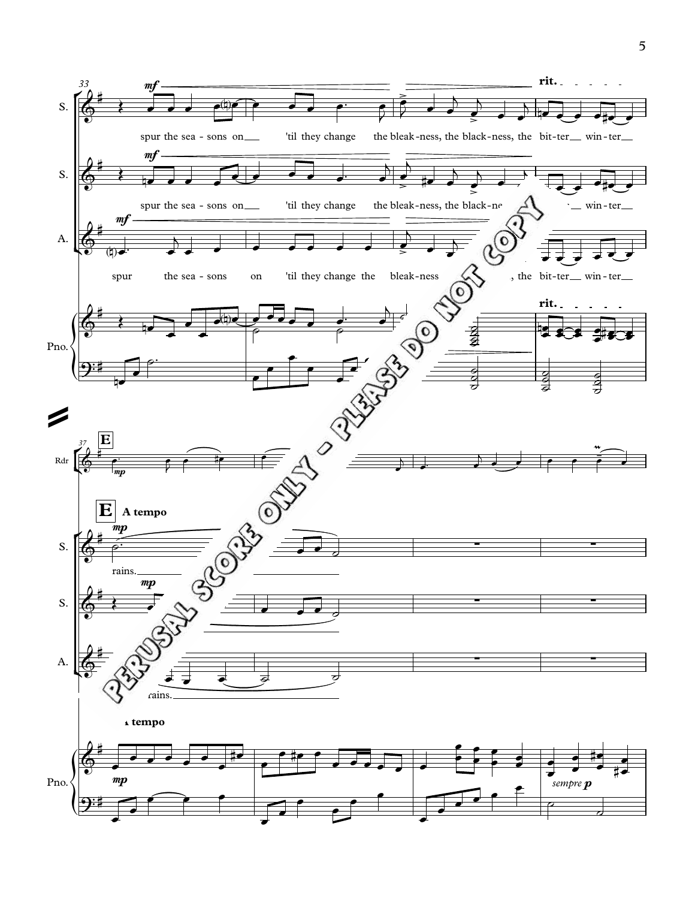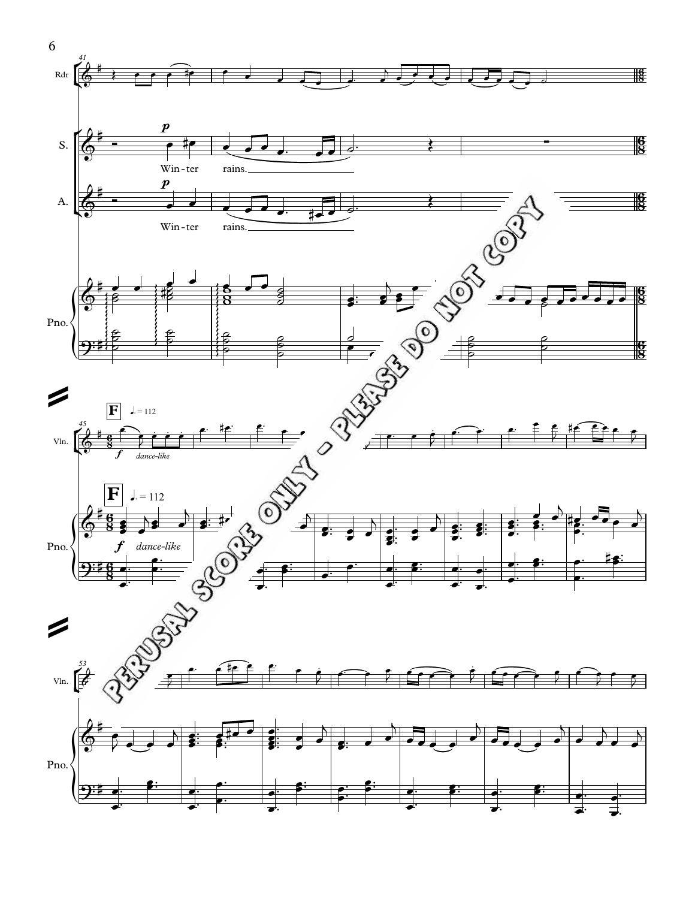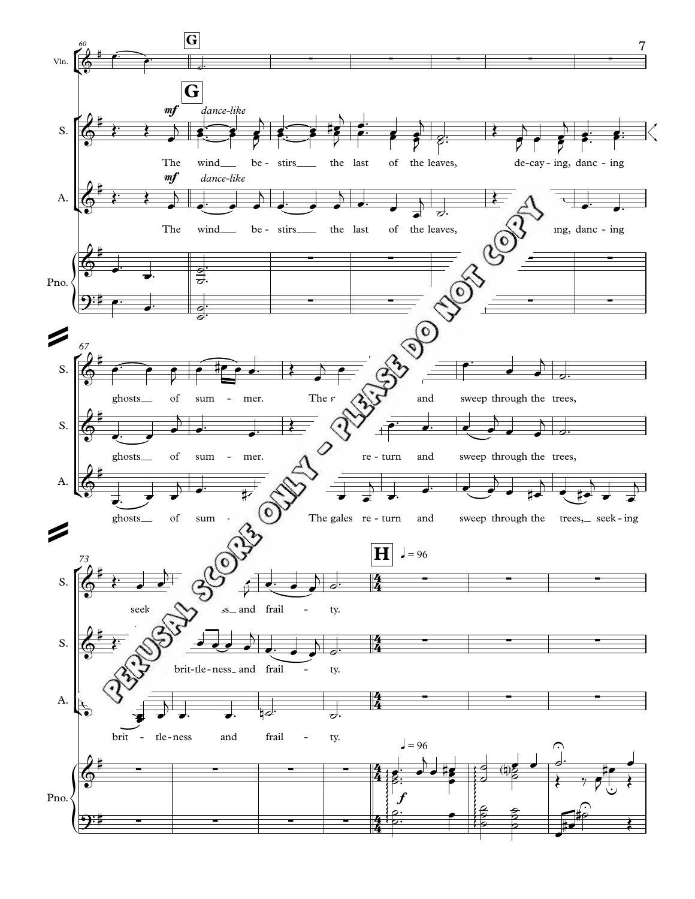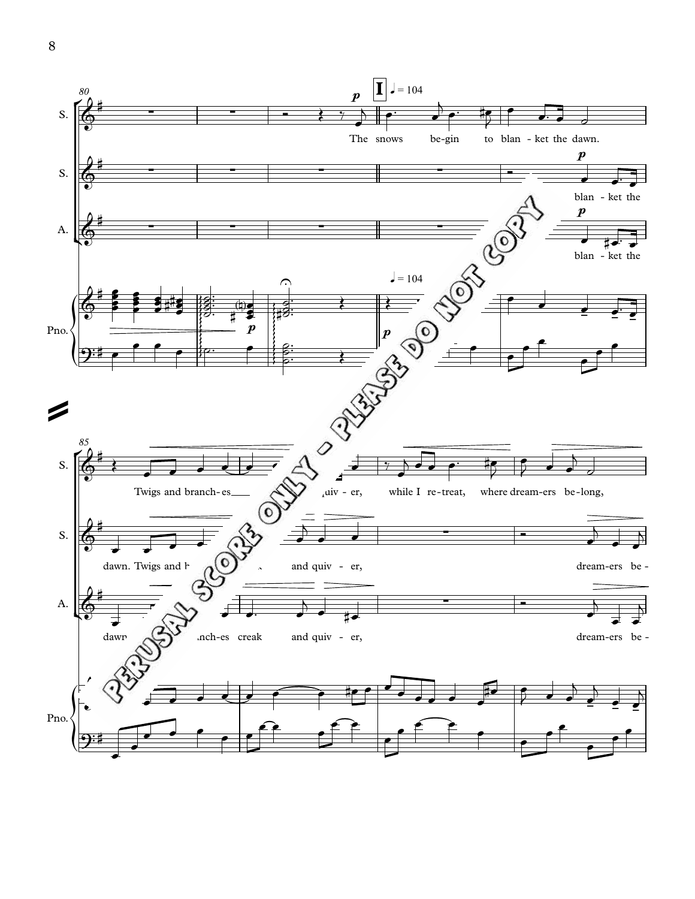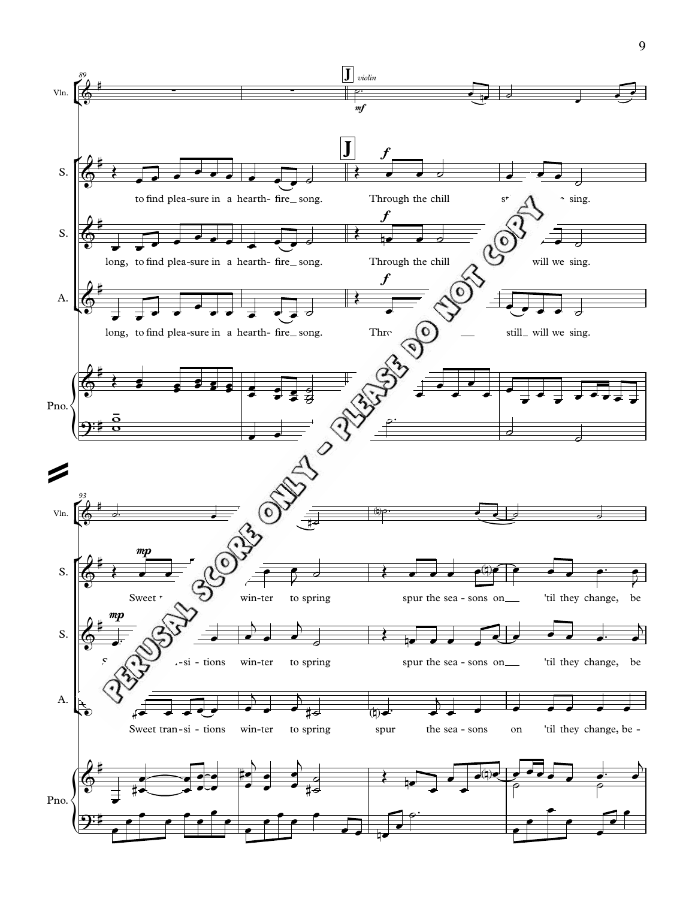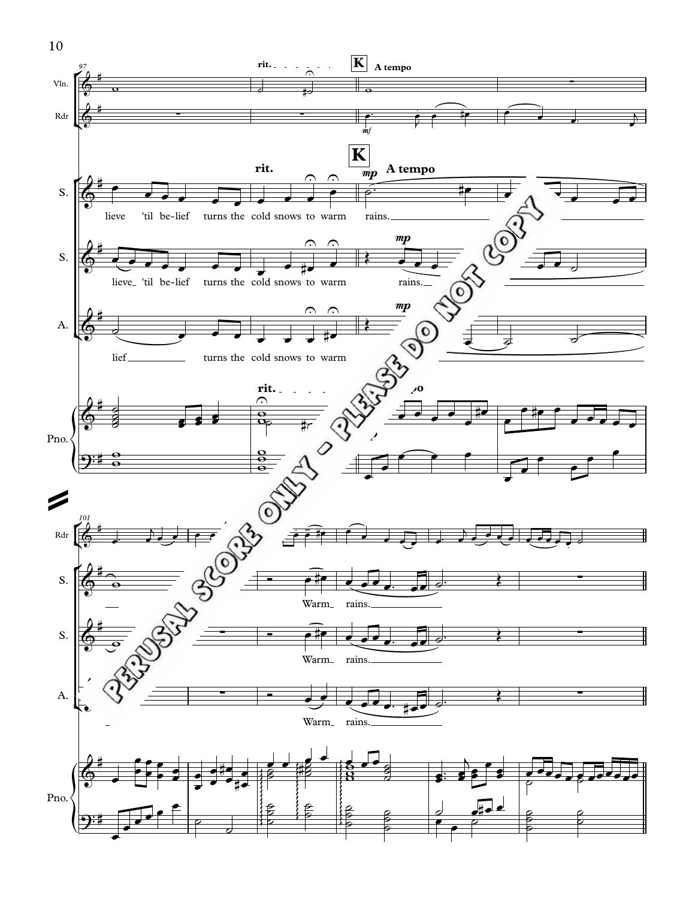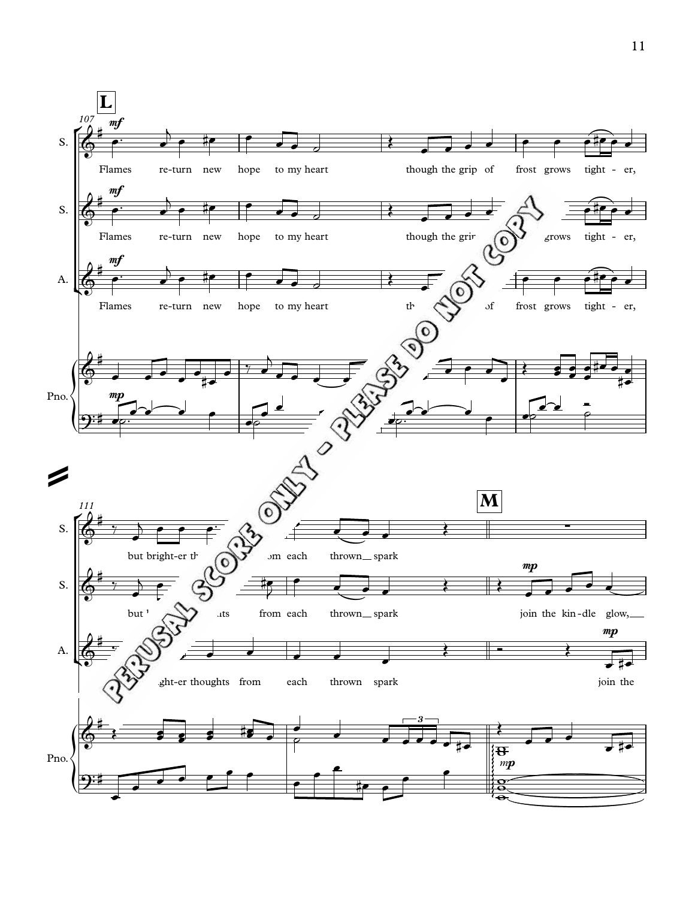